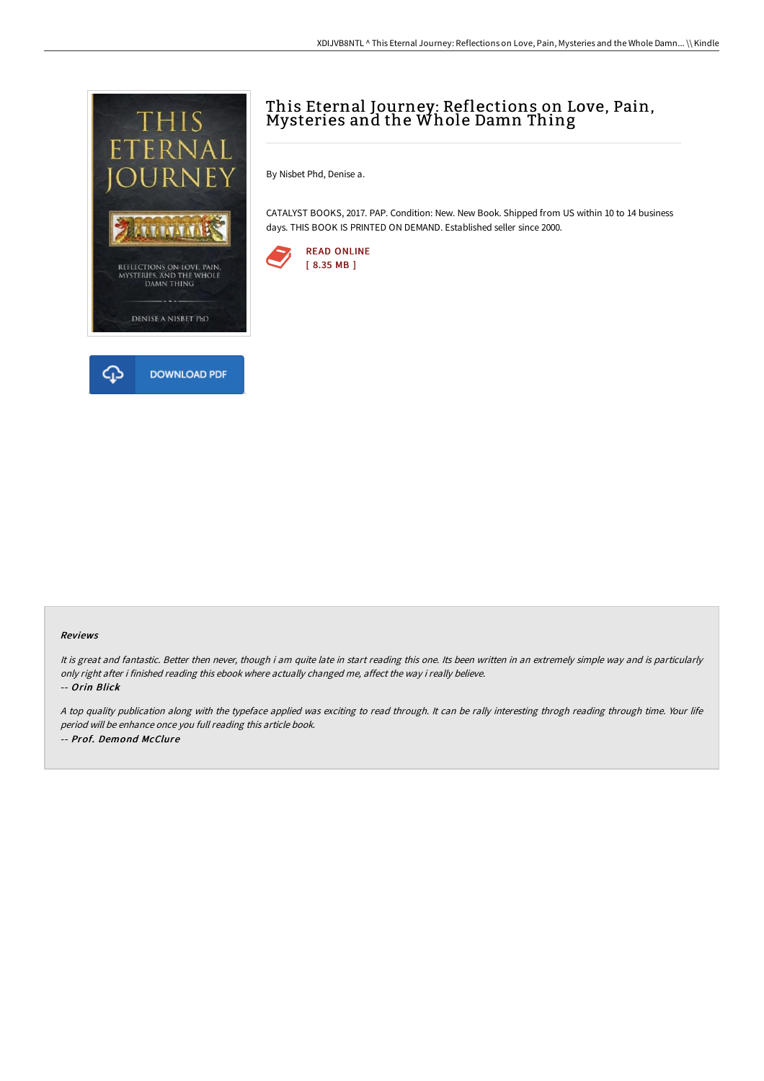



## This Eternal Journey: Reflections on Love, Pain, Mysteries and the Whole Damn Thing

By Nisbet Phd, Denise a.

CATALYST BOOKS, 2017. PAP. Condition: New. New Book. Shipped from US within 10 to 14 business days. THIS BOOK IS PRINTED ON DEMAND. Established seller since 2000.



## Reviews

It is great and fantastic. Better then never, though i am quite late in start reading this one. Its been written in an extremely simple way and is particularly only right after i finished reading this ebook where actually changed me, affect the way i really believe. -- Orin Blick

<sup>A</sup> top quality publication along with the typeface applied was exciting to read through. It can be rally interesting throgh reading through time. Your life period will be enhance once you full reading this article book. -- Prof. Demond McClure